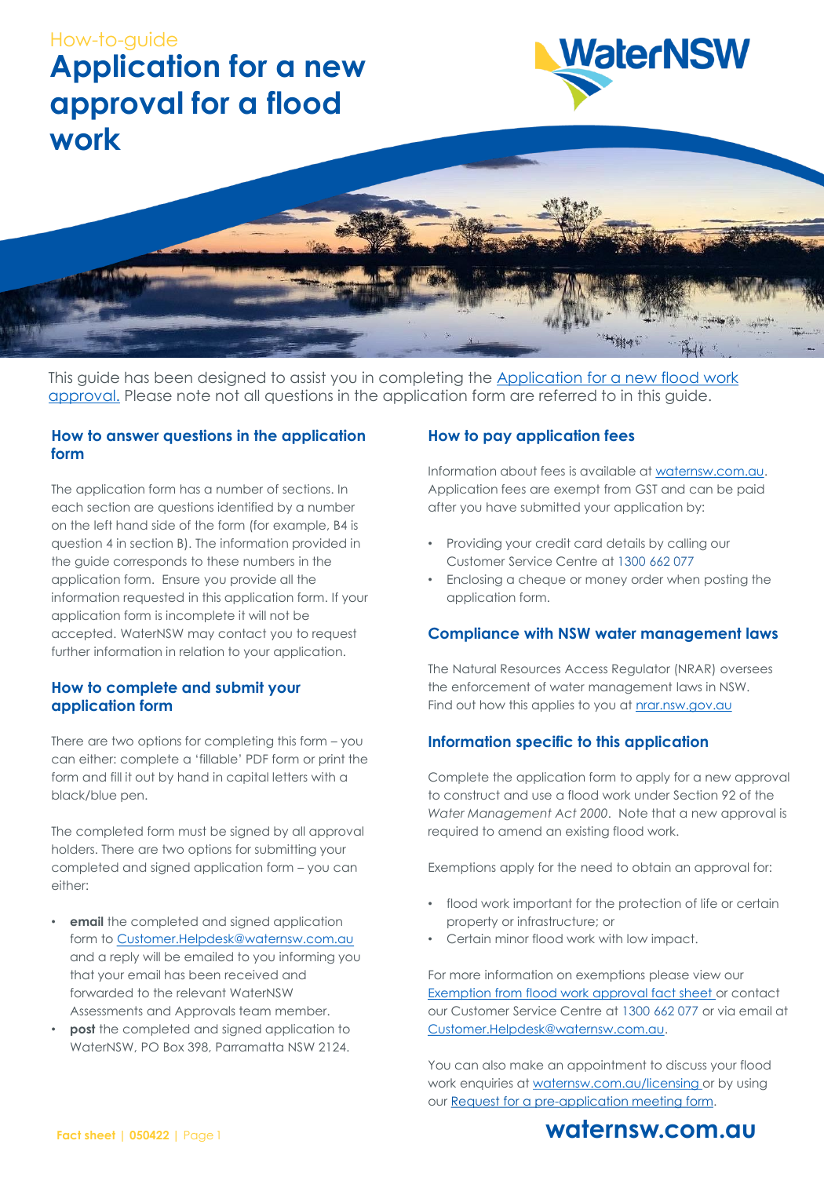



This guide has been designed to assist you in completing the Application for a new flood work approval. Please note not all questions in the application form are referred to in this guide.

#### **How to answer questions in the application form**

The application form has a number of sections. In each section are questions identified by a number on the left hand side of the form (for example, B4 is question 4 in section B). The information provided in the guide corresponds to these numbers in the application form. Ensure you provide all the information requested in this application form. If your application form is incomplete it will not be accepted. WaterNSW may contact you to request further information in relation to your application.

#### **How to complete and submit your application form**

There are two options for completing this form – you can either: complete a 'fillable' PDF form or print the form and fill it out by hand in capital letters with a black/blue pen.

The completed form must be signed by all approval holders. There are two options for submitting your completed and signed application form – you can either:

- **email** the completed and signed application form to [Customer.Helpdesk@waternsw.com.au](mailto:Customer.Helpdesk@waternsw.com.au) and a reply will be emailed to you informing you that your email has been received and forwarded to the relevant WaterNSW Assessments and Approvals team member.
- **post** the completed and signed application to WaterNSW, PO Box 398, Parramatta NSW 2124.

#### **How to pay application fees**

Information about fees is available at <waternsw.com.au>. Application fees are exempt from GST and can be paid after you have submitted your application by:

- Providing your credit card details by calling our Customer Service Centre at 1300 662 077
- Enclosing a cheque or money order when posting the application form.

#### **Compliance with NSW water management laws**

The Natural Resources Access Regulator (NRAR) oversees the enforcement of water management laws in NSW. Find out how this applies to you at nrar.nsw.gov.au

### **Information specific to this application**

Complete the application form to apply for a new approval to construct and use a flood work under Section 92 of the *Water Management Act 2000*. Note that a new approval is required to amend an existing flood work.

Exemptions apply for the need to obtain an approval for:

- flood work important for the protection of life or certain property or infrastructure; or
- Certain minor flood work with low impact.

For more information on exemptions please view our [Exemption from flood work approval fact sheet](https://www.waternsw.com.au/__data/assets/pdf_file/0011/128963/5.-Understanding-exemption-approvals.pdf) or contact our Customer Service Centre at 1300 662 077 or via email at [Customer.Helpdesk@waternsw.com.au](mailto:Customer.Helpdesk@waternsw.com.au).

You can also make an appointment to discuss your flood work enquiries at [waternsw.com.au/licensing o](waternsw.com.au/licensing)r by using our Request for a pre-application meeting form.

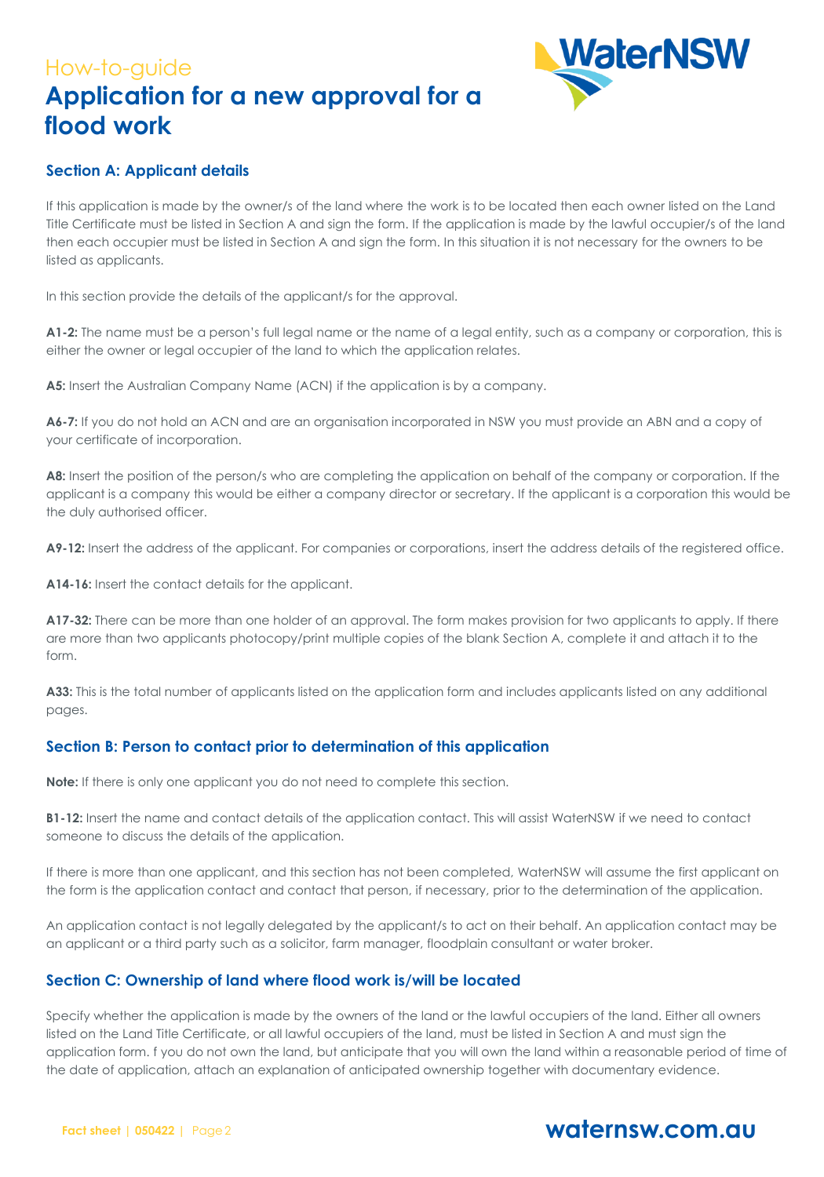

### **Section A: Applicant details**

If this application is made by the owner/s of the land where the work is to be located then each owner listed on the Land Title Certificate must be listed in Section A and sign the form. If the application is made by the lawful occupier/s of the land then each occupier must be listed in Section A and sign the form. In this situation it is not necessary for the owners to be listed as applicants.

In this section provide the details of the applicant/s for the approval.

**A1-2:** The name must be a person's full legal name or the name of a legal entity, such as a company or corporation, this is either the owner or legal occupier of the land to which the application relates.

**A5:** Insert the Australian Company Name (ACN) if the application is by a company.

**A6-7:** If you do not hold an ACN and are an organisation incorporated in NSW you must provide an ABN and a copy of your certificate of incorporation.

A8: Insert the position of the person/s who are completing the application on behalf of the company or corporation. If the applicant is a company this would be either a company director or secretary. If the applicant is a corporation this would be the duly authorised officer.

**A9-12:** Insert the address of the applicant. For companies or corporations, insert the address details of the registered office.

**A14-16:** Insert the contact details for the applicant.

**A17-32:** There can be more than one holder of an approval. The form makes provision for two applicants to apply. If there are more than two applicants photocopy/print multiple copies of the blank Section A, complete it and attach it to the form.

**A33:** This is the total number of applicants listed on the application form and includes applicants listed on any additional pages.

#### **Section B: Person to contact prior to determination of this application**

**Note:** If there is only one applicant you do not need to complete this section.

**B1-12:** Insert the name and contact details of the application contact. This will assist WaterNSW if we need to contact someone to discuss the details of the application.

If there is more than one applicant, and this section has not been completed, WaterNSW will assume the first applicant on the form is the application contact and contact that person, if necessary, prior to the determination of the application.

An application contact is not legally delegated by the applicant/s to act on their behalf. An application contact may be an applicant or a third party such as a solicitor, farm manager, floodplain consultant or water broker.

#### **Section C: Ownership of land where flood work is/will be located**

Specify whether the application is made by the owners of the land or the lawful occupiers of the land. Either all owners listed on the Land Title Certificate, or all lawful occupiers of the land, must be listed in Section A and must sign the application form. f you do not own the land, but anticipate that you will own the land within a reasonable period of time of the date of application, attach an explanation of anticipated ownership together with documentary evidence.

#### **Fact sheet | 050422 |** Page2

### **waternsw.com.au**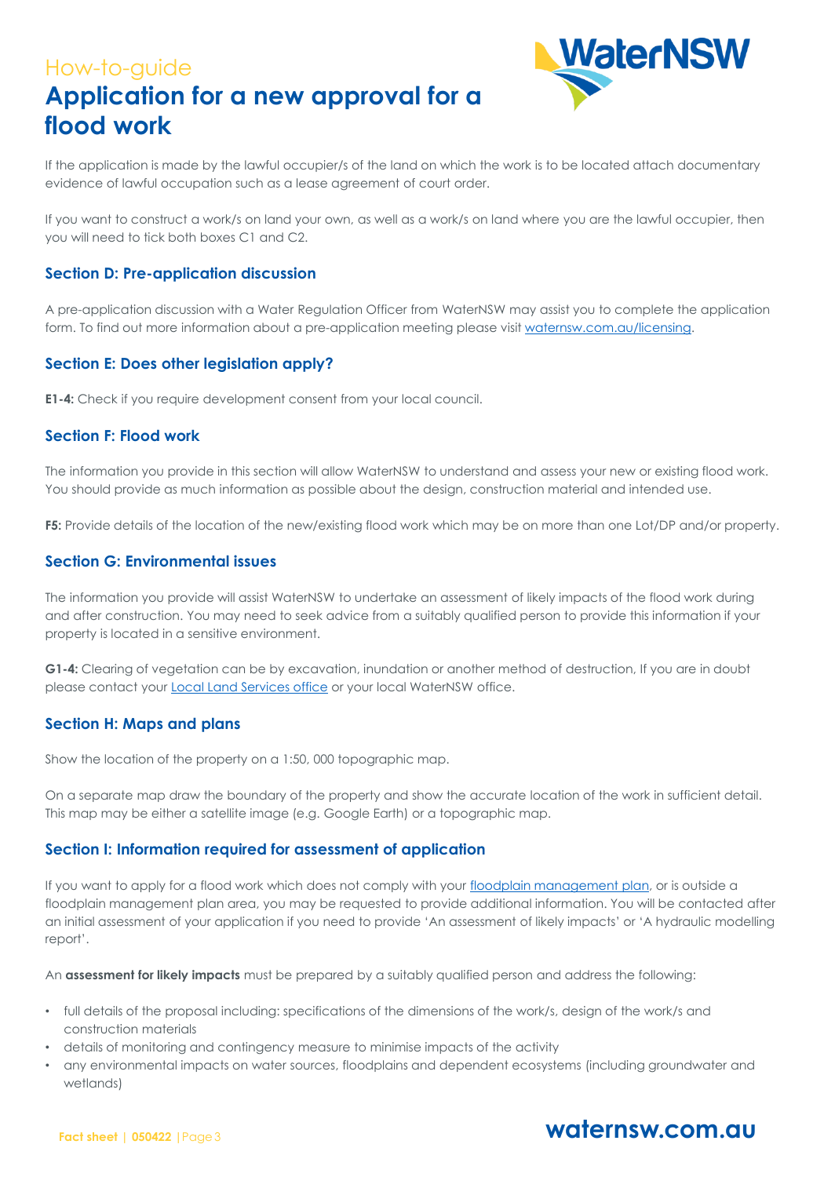

If the application is made by the lawful occupier/s of the land on which the work is to be located attach documentary evidence of lawful occupation such as a lease agreement of court order.

If you want to construct a work/s on land your own, as well as a work/s on land where you are the lawful occupier, then you will need to tick both boxes C1 and C2.

#### **Section D: Pre-application discussion**

A pre-application discussion with a Water Regulation Officer from WaterNSW may assist you to complete the application form. To find out more information about a pre-application meeting please visit<waternsw.com.au/licensing>.

#### **Section E: Does other legislation apply?**

**E1-4:** Check if you require development consent from your local council.

#### **Section F: Flood work**

The information you provide in this section will allow WaterNSW to understand and assess your new or existing flood work. You should provide as much information as possible about the design, construction material and intended use.

**F5:** Provide details of the location of the new/existing flood work which may be on more than one Lot/DP and/or property.

#### **Section G: Environmental issues**

The information you provide will assist WaterNSW to undertake an assessment of likely impacts of the flood work during and after construction. You may need to seek advice from a suitably qualified person to provide this information if your property is located in a sensitive environment.

**G1-4:** Clearing of vegetation can be by excavation, inundation or another method of destruction, If you are in doubt please contact your **[Local Land Services office](https://www.lls.nsw.gov.au/)** or your local WaterNSW office.

#### **Section H: Maps and plans**

Show the location of the property on a 1:50, 000 topographic map.

On a separate map draw the boundary of the property and show the accurate location of the work in sufficient detail. This map may be either a satellite image (e.g. Google Earth) or a topographic map.

#### **Section I: Information required for assessment of application**

If you want to apply for a flood work which does not comply with your [floodplain management plan,](https://www.industry.nsw.gov.au/water/plans-programs/healthy-floodplains-project/plans) or is outside a floodplain management plan area, you may be requested to provide additional information. You will be contacted after an initial assessment of your application if you need to provide 'An assessment of likely impacts' or 'A hydraulic modelling report'.

An **assessment for likely impacts** must be prepared by a suitably qualified person and address the following:

- full details of the proposal including: specifications of the dimensions of the work/s, design of the work/s and construction materials
- details of monitoring and contingency measure to minimise impacts of the activity
- any environmental impacts on water sources, floodplains and dependent ecosystems (including groundwater and wetlands)

#### **Fact sheet | 050422 |**Page3

### **waternsw.com.au**